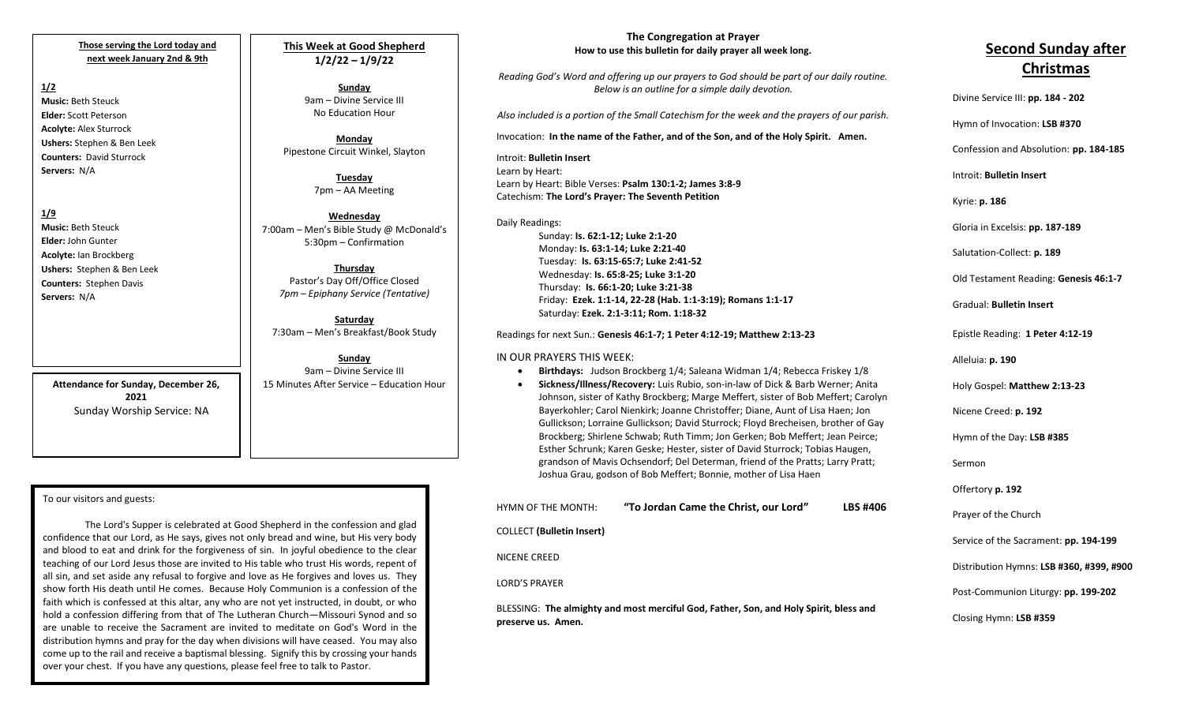#### **Those serving the Lord today and next week January 2nd & 9th**

# **1/2**

**Music:** Beth Steuck **Elder:** Scott Peterson **Acolyte:** Alex Sturrock **Ushers:** Stephen & Ben Leek **Counters:** David Sturrock **Servers:** N/A

#### **1/9**

**Music:** Beth Steuck **Elder:** John Gunter **Acolyte:** Ian Brockberg **Ushers:** Stephen & Ben Leek **Counters:** Stephen Davis **Servers:** N/A

> **Attendance for Sunday, December 26, 2021** Sunday Worship Service: NA

### **This Week at Good Shepherd 1/2/22 – 1/9/22**

**Sunday** 9am – Divine Service III No Education Hour

**Monday** Pipestone Circuit Winkel, Slayton

> **Tuesday** 7pm – AA Meeting

**Wednesday** 7:00am – Men's Bible Study @ McDonald's 5:30pm – Confirmation

**Thursday** Pastor's Day Off/Office Closed *7pm – Epiphany Service (Tentative)*

**Saturday** 7:30am – Men's Breakfast/Book Study

**Sunday** 9am – Divine Service III 15 Minutes After Service – Education Hour

#### To our visitors and guests:

 distribution hymns and pray for the day when divisions will have ceased. You may also The Lord's Supper is celebrated at Good Shepherd in the confession and glad confidence that our Lord, as He says, gives not only bread and wine, but His very body and blood to eat and drink for the forgiveness of sin. In joyful obedience to the clear teaching of our Lord Jesus those are invited to His table who trust His words, repent of all sin, and set aside any refusal to forgive and love as He forgives and loves us. They show forth His death until He comes. Because Holy Communion is a confession of the faith which is confessed at this altar, any who are not yet instructed, in doubt, or who hold a confession differing from that of The Lutheran Church—Missouri Synod and so are unable to receive the Sacrament are invited to meditate on God's Word in the come up to the rail and receive a baptismal blessing. Signify this by crossing your hands over your chest. If you have any questions, please feel free to talk to Pastor.

#### **The Congregation at Prayer How to use this bulletin for daily prayer all week long.**

*Reading God's Word and offering up our prayers to God should be part of our daily routine. Below is an outline for a simple daily devotion.*

*Also included is a portion of the Small Catechism for the week and the prayers of our parish.*

Invocation: **In the name of the Father, and of the Son, and of the Holy Spirit. Amen.**

Introit: **Bulletin Insert** Learn by Heart: Learn by Heart: Bible Verses: **Psalm 130:1-2; James 3:8-9** Catechism: **The Lord's Prayer: The Seventh Petition**

Daily Readings: Sunday: **Is. 62:1-12; Luke 2:1-20** Monday: **Is. 63:1-14; Luke 2:21-40** Tuesday: **Is. 63:15-65:7; Luke 2:41-52** Wednesday: **Is. 65:8-25; Luke 3:1-20** Thursday: **Is. 66:1-20; Luke 3:21-38** Friday: **Ezek. 1:1-14, 22-28 (Hab. 1:1-3:19); Romans 1:1-17** Saturday: **Ezek. 2:1-3:11; Rom. 1:18-32**

Readings for next Sun.: **Genesis 46:1-7; 1 Peter 4:12-19; Matthew 2:13-23**

#### IN OUR PRAYERS THIS WEEK:

- **Birthdays:** Judson Brockberg 1/4; Saleana Widman 1/4; Rebecca Friskey 1/8
- **Sickness/Illness/Recovery:** Luis Rubio, son-in-law of Dick & Barb Werner; Anita Johnson, sister of Kathy Brockberg; Marge Meffert, sister of Bob Meffert; Carolyn Bayerkohler; Carol Nienkirk; Joanne Christoffer; Diane, Aunt of Lisa Haen; Jon Gullickson; Lorraine Gullickson; David Sturrock; Floyd Brecheisen, brother of Gay Brockberg; Shirlene Schwab; Ruth Timm; Jon Gerken; Bob Meffert; Jean Peirce; Esther Schrunk; Karen Geske; Hester, sister of David Sturrock; Tobias Haugen, grandson of Mavis Ochsendorf; Del Determan, friend of the Pratts; Larry Pratt; Joshua Grau, godson of Bob Meffert; Bonnie, mother of Lisa Haen

| HYMN OF THE MONTH:               | "To Jordan Came the Christ, our Lord"                                                 | <b>LBS #406</b> | Prayer  |
|----------------------------------|---------------------------------------------------------------------------------------|-----------------|---------|
| <b>COLLECT</b> (Bulletin Insert) |                                                                                       |                 | Service |
| NICENE CREED                     |                                                                                       |                 | Distrib |
| <b>LORD'S PRAYER</b>             |                                                                                       |                 | Post-Co |
| preserve us. Amen.               | BLESSING: The almighty and most merciful God, Father, Son, and Holy Spirit, bless and |                 | Closing |

# **Second Sunday after Christmas**

Divine Service III: **pp. 184 - 202** Hymn of Invocation: **LSB #370** Confession and Absolution: **pp. 184-185** Introit: **Bulletin Insert**  Kyrie: **p. 186** Gloria in Excelsis: **pp. 187-189** Salutation-Collect: **p. 189** Old Testament Reading: **Genesis 46:1-7** Gradual: **Bulletin Insert** Epistle Reading: **1 Peter 4:12-19** Alleluia: **p. 190** Holy Gospel: **Matthew 2:13-23** Nicene Creed: **p. 192** Hymn of the Day: **LSB #385** Sermon Offertory **p. 192** of the Church of the Sacrament: pp. 194-199 Distribution Hymns: **LSB #360, #399, #900** Post-Communion Liturgy: **pp. 199-202**  Closing Hymn: **LSB #359**